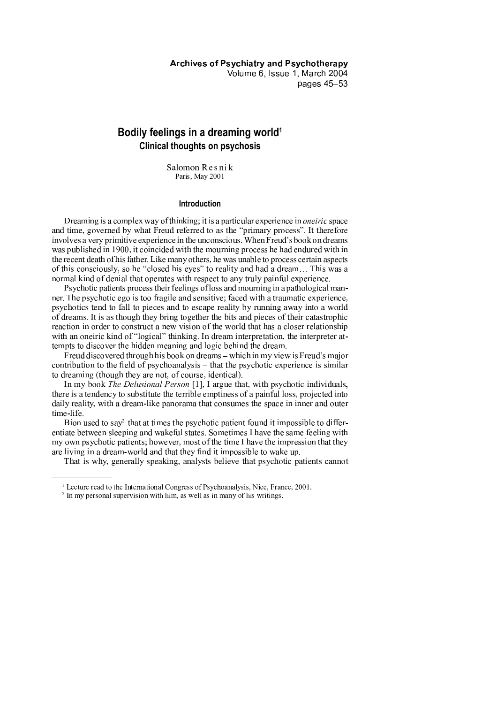# **Bodily feelings in a dreaming world<sup>1</sup> Clinical thoughts on psychosis**

Salomon Resnik Paris, May 2001

### **Introduction**

Dreaming is a complex way of thinking; it is a particular experience in *oneiric* space and time, governed by what Freud referred to as the "primary process". It therefore involves a very primitive experience in the unconscious. When Freud's book on dreams was published in 1900, it coincided with the mourning process he had endured with in the recent death of his father. Like many others, he was unable to process certain aspects of this consciously, so he "closed his eyes" to reality and had a dream... This was a normal kind of denial that operates with respect to any truly painful experience.

Psychotic patients process their feelings of loss and mourning in a pathological manner. The psychotic ego is too fragile and sensitive; faced with a traumatic experience, psychotics tend to fall to pieces and to escape reality by running away into a world of dreams. It is as though they bring together the bits and pieces of their catastrophic reaction in order to construct a new vision of the world that has a closer relationship with an oneiric kind of "logical" thinking. In dream interpretation, the interpreter attempts to discover the hidden meaning and logic behind the dream.

Freud discovered through his book on dreams – which in my view is Freud's major contribution to the field of psychoanalysis – that the psychotic experience is similar to dreaming (though they are not, of course, identical).

In my book *The Delusional Person* [1], I argue that, with psychotic individuals, there is a tendency to substitute the terrible emptiness of a painful loss, projected into daily reality, with a dream-like panorama that consumes the space in inner and outer time-life.

Bion used to say<sup>2</sup> that at times the psychotic patient found it impossible to differentiate between sleeping and wakeful states. Sometimes I have the same feeling with my own psychotic patients; however, most of the time I have the impression that they are living in a dream-world and that they find it impossible to wake up.

That is why, generally speaking, analysts believe that psychotic patients cannot

 <sup>6</sup> <sup>6</sup> <sup>5</sup> <sup>6</sup> <sup>5</sup> <sup>7</sup> <sup>5</sup> <sup>6</sup> <sup>8</sup> <sup>8</sup> <sup>4</sup> <sup>8</sup> ; <sup>5</sup> <sup>5</sup> ; <sup>8</sup> <sup>7</sup> <sup>8</sup> <sup>9</sup> <sup>7</sup> <sup>9</sup> <sup>6</sup> <sup>5</sup> <sup>9</sup> <sup>&</sup>lt; <sup>=</sup> <sup>=</sup> <sup>&</sup>gt;

 ; <sup>6</sup> <sup>8</sup> <sup>5</sup> <sup>8</sup> <sup>6</sup> <sup>7</sup> <sup>8</sup> <sup>7</sup> <sup>7</sup> <sup>7</sup> <sup>9</sup> <sup>5</sup> <sup>8</sup> <sup>5</sup> <sup>8</sup> <sup>7</sup> <sup>5</sup> ; <sup>7</sup> <sup>8</sup> <sup>6</sup> <sup>7</sup> <sup>7</sup> <sup>8</sup>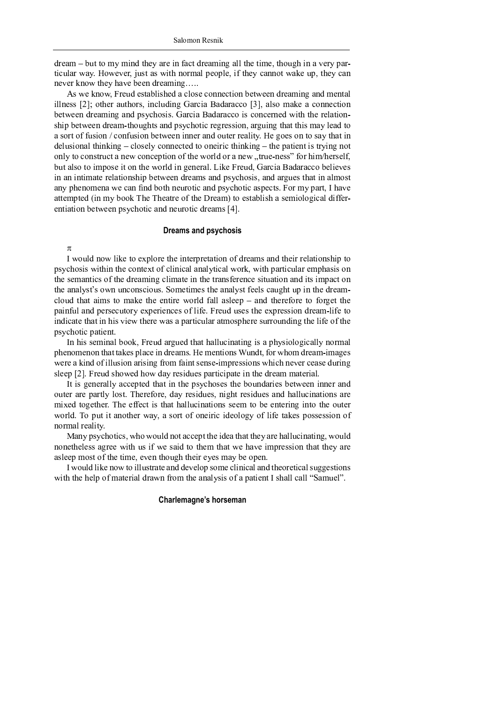$d$  dream – but to my mind they are in fact dreaming all the time, though in a very particular way. However, just as with normal people, if they cannot wake up, they can never know they have been dreaming.....

As we know, Freud established a close connection between dreaming and mental illness [2]; other authors, including Garcia Badaracco [3], also make a connection between dreaming and psychosis. Garcia Badaracco is concerned with the relationship between dream-thoughts and psychotic regression, arguing that this may lead to a sort of fusion / confusion between inner and outer reality. He goes on to say that in delusional thinking – closely connected to one iric thinking – the patient is trying not only to construct a new conception of the world or a new "true-ness" for him/herself, but also to impose it on the world in general. Like Freud, Garcia Badaracco believes in an intimate relationship between dreams and psychosis, and argues that in almost any phenomena we can find both neurotic and psychotic aspects. For my part, I have attempted (in my book The Theatre of the Dream) to establish a semiological differentiation between psychotic and neurotic dreams [4].

## **Dreams and psychosis**

 $\pi$ 

I would now like to explore the interpretation of dreams and their relationship to psychosis within the context of clinical analytical work, with particular emphasis on the semantics of the dreaming climate in the transference situation and its impact on the analyst's own unconscious. Sometimes the analyst feels caught up in the dreamcloud that aims to make the entire world fall asleep  $-$  and therefore to forget the painful and persecutory experiences of life. Freud uses the expression dream-life to indicate that in his view there was a particular atmosphere surrounding the life of the psychotic patient.

In his seminal book, Freud argued that hallucinating is a physiologically normal phenomenon that takes place in dreams. He mentions Wundt, for whom dream-images were a kind of illusion arising from faint sense-impressions which never cease during sleep [2]. Freud showed how day residues participate in the dream material.

It is generally accepted that in the psychoses the boundaries between inner and outer are partly lost. Therefore, day residues, night residues and hallucinations are mixed together. The effect is that hallucinations seem to be entering into the outer world. To put it another way, a sort of oneiric ideology of life takes possession of normal reality.

Many psychotics, who would not accept the idea that they are hallucinating, would nonetheless agree with us if we said to them that we have impression that they are as leep most of the time, even though their eyes may be open.

I would like now to illustrate and develop some clinical and theoretical suggestions with the help of material drawn from the analysis of a patient I shall call "Samuel".

# Charlemagne's horseman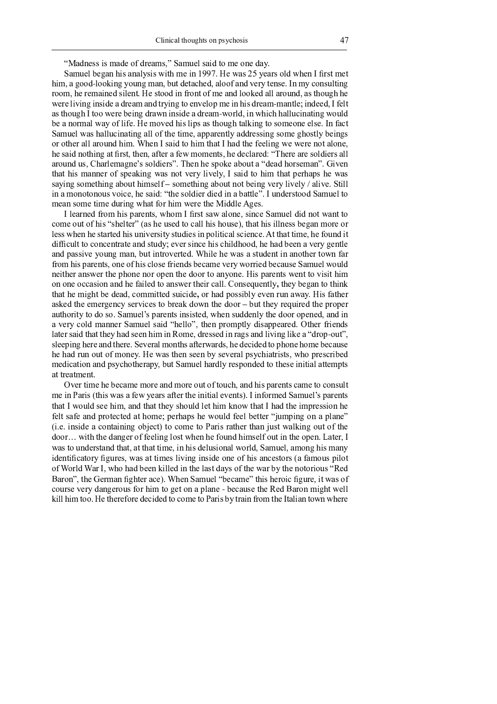"Madness is made of dreams." Samuel said to me one day.

Samuel began his analysis with me in 1997. He was 25 years old when I first met him, a good-looking young man, but detached, aloof and very tense. In my consulting room, he remained silent. He stood in front of me and looked all around, as though he were living inside a dream and trying to envelop me in his dream-mantle; indeed, I felt as though I too were being drawn inside a dream-world, in which hallucinating would be a normal way of life. He moved his lips as though talking to someone else. In fact Samuel was hallucinating all of the time, apparently addressing some ghostly beings or other all around him. When I said to him that I had the feeling we were not alone, he said nothing at first, then, after a few moments, he declared: "There are soldiers all around us, Charlemagne's soldiers". Then he spoke about a "dead horseman". Given that his manner of speaking was not very lively, I said to him that perhaps he was saying something about himself – something about not being very lively / alive. Still in a monotonous voice, he said: "the soldier died in a battle". I understood Samuel to mean some time during what for him were the Middle Ages.

I learned from his parents, whom I first saw alone, since Samuel did not want to come out of his "shelter" (as he used to call his house), that his illness began more or less when he started his university studies in political science. At that time, he found it difficult to concentrate and study; ever since his childhood, he had been a very gentle and passive young man, but introverted. While he was a student in another town far from his parents, one of his close friends became very worried because Samuel would neither answer the phone nor open the door to anyone. His parents went to visit him on one occasion and he failed to answer their call. Consequently, they began to think that he might be dead, committed suicide, or had possibly even run away. His father asked the emergency services to break down the door - but they required the proper authority to do so. Samuel's parents insisted, when suddenly the door opened, and in a very cold manner Samuel said "hello", then promptly disappeared. Other friends later said that they had seen him in Rome, dressed in rags and living like a "drop-out". sleeping here and there. Several months afterwards, he decided to phone home because he had run out of money. He was then seen by several psychiatrists, who prescribed medication and psychotherapy, but Samuel hardly responded to these initial attempts at treatment.

Over time he became more and more out of touch, and his parents came to consult me in Paris (this was a few years after the initial events). I informed Samuel's parents that I would see him, and that they should let him know that I had the impression he felt safe and protected at home; perhaps he would feel better "jumping on a plane" (*i.e.* inside a containing object) to come to Paris rather than just walking out of the door... with the danger of feeling lost when he found himself out in the open. Later, I was to understand that, at that time, in his delusional world, Samuel, among his many identificatory figures, was at times living inside one of his ancestors (a famous pilot of World War I, who had been killed in the last days of the war by the notorious "Red Baron", the German fighter ace). When Samuel "became" this heroic figure, it was of course very dangerous for him to get on a plane - because the Red Baron might well kill him too. He therefore decided to come to Paris by train from the Italian town where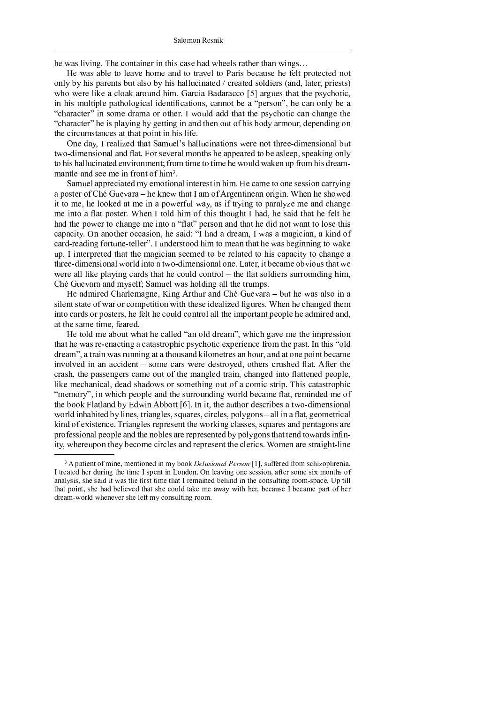he was living. The container in this case had wheels rather than wings...

He was able to leave home and to travel to Paris because he felt protected not only by his parents but also by his hallucinated / created soldiers (and, later, priests) who were like a cloak around him. Garcia Badaracco [5] argues that the psychotic, in his multiple pathological identifications, cannot be a "person", he can only be a "character" in some drama or other. I would add that the psychotic can change the "character" he is playing by getting in and then out of his body armour, depending on the circumstances at that point in his life.

One day, I realized that Samuel's hallucinations were not three-dimensional but two-dimensional and flat. For several months he appeared to be asleep, speaking only to his hallucinated environment; from time to time he would waken up from his dreammantle and see me in front of him<sup>3</sup>.

Samuel appreciated my emotional interest in him. He came to one session carrying a poster of Ché Guevara – he knew that I am of Argentinean origin. When he showed it to me, he looked at me in a powerful way, as if trying to paralyze me and change me into a flat poster. When I told him of this thought I had, he said that he felt he had the power to change me into a "flat" person and that he did not want to lose this capacity. On another occasion, he said: "I had a dream, I was a magician, a kind of card-reading fortune-teller". I understood him to mean that he was beginning to wake up. I interpreted that the magician seemed to be related to his capacity to change a three-dimensional world into a two-dimensional one. Later, it became obvious that we were all like playing cards that he could control  $-$  the flat soldiers surrounding him, Ché Guevara and myself; Samuel was holding all the trumps.

He admired Charlemagne, King Arthur and Ché Guevara – but he was also in a silent state of war or competition with these idealized figures. When he changed them into cards or posters, he felt he could control all the important people he admired and, at the same time, feared.

He told me about what he called "an old dream", which gave me the impression that he was re-enacting a catastrophic psychotic experience from the past. In this "old dream", a train was running at a thousand kilometres an hour, and at one point became involved in an accident - some cars were destroyed, others crushed flat. After the crash, the passengers came out of the mangled train, changed into flattened people, like mechanical, dead shadows or something out of a comic strip. This catastrophic "memory", in which people and the surrounding world became flat, reminded me of the book Flatland by Edwin Abbott [6]. In it, the author describes a two-dimensional world inhabited by lines, triangles, squares, circles, polygons - all in a flat, geometrical kind of existence. Triangles represent the working classes, squares and pentagons are professional people and the nobles are represented by polygons that tend towards infinity, whereupon they become circles and represent the clerics. Women are straight-line

<sup>&</sup>lt;sup>3</sup> A patient of mine, mentioned in my book *Delusional Person* [1], suffered from schizophrenia. I treated her during the time I spent in London. On leaving one session, after some six months of analysis, she said it was the first time that I remained behind in the consulting room-space. Up till that point, she had believed that she could take me away with her, because I became part of her dream-world whenever she left my consulting room.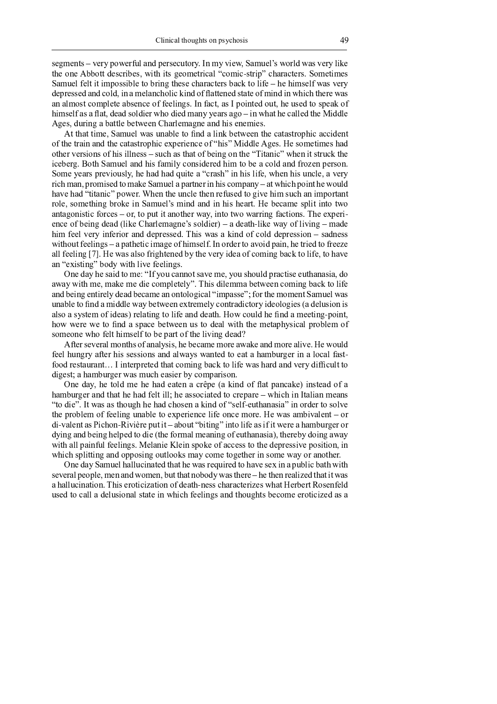¢ £ ¤ ¥ £ ¦ § ¢ ¨ © £ <sup>ª</sup> « <sup>¬</sup> ® £ <sup>ª</sup> ¯ ° <sup>±</sup> <sup>²</sup> ¦ <sup>³</sup> <sup>¬</sup> £ <sup>ª</sup> ¢ £ ´ ° § <sup>ª</sup> « <sup>µ</sup> ¶ ¦ ¥ « © · £ ® ¸ <sup>¹</sup> <sup>²</sup> ¥ ° £ <sup>±</sup> <sup>º</sup> ¢ ® <sup>ª</sup> <sup>±</sup> <sup>³</sup> ® <sup>²</sup> ¢ © £ <sup>ª</sup> « <sup>±</sup> · » £ § <sup>¼</sup> £ ¦ £ <sup>½</sup> <sup>¾</sup> <sup>¾</sup> § § <sup>³</sup> £ ¢ ´ <sup>ª</sup> · <sup>¾</sup> £ ¢ ¸ ® · § <sup>¼</sup> · § ¢ ¤ £ ¥ £ § <sup>ª</sup> · ´ <sup>²</sup> <sup>±</sup> ¿ ´ ¥ · ´ <sup>À</sup> ¢ § <sup>ª</sup> · <sup>¬</sup> <sup>Á</sup> ´ <sup>¼</sup> <sup>²</sup> <sup>ª</sup> <sup>²</sup> ´ § £ <sup>ª</sup> ¢ <sup>µ</sup> <sup>¹</sup> ¥ £ § · ¥ £ ¢ ¹ <sup>²</sup> ¥ ° £ <sup>±</sup> ¯ £ <sup>±</sup> § · § · ¥ <sup>¬</sup> ¢ ¢ · <sup>¾</sup> <sup>±</sup> £ § <sup>¾</sup> <sup>ª</sup> · ¦ ¤ § <sup>¼</sup> £ ¢ £ ´ <sup>¼</sup> <sup>²</sup> <sup>ª</sup> <sup>²</sup> ´ § £ <sup>ª</sup> ¢ <sup>¾</sup> <sup>²</sup> ´ » § <sup>±</sup> · ¯ £ ¨ <sup>¼</sup> £ <sup>¼</sup> · ¥ ¢ £ <sup>±</sup> ¯ ® <sup>²</sup> ¢ © £ <sup>ª</sup> « a sous sous double to a faith and the set of the long of the design and several sector of the sector of the sector of the sector of  $\mathcal{A}$ ² ¦ <sup>²</sup> <sup>±</sup> ¥ ¢ § ´ ¥ <sup>¬</sup> <sup>±</sup> £ § £ <sup>²</sup> <sup>¾</sup> ¢ £ ¦ ´ £ ¯ ¯ £ £ <sup>±</sup> · ¦ ¤ ¢ <sup>µ</sup> ¶ ¦ ¯ <sup>²</sup> ´ § ¸ <sup>²</sup> ¢ ¶ <sup>¬</sup> · ¦ § £ <sup>³</sup> ° § ¸ <sup>¼</sup> £ ° ¢ £ <sup>³</sup> § ¢ <sup>¬</sup> £ <sup>²</sup> » ¯  $\bf 1 \cdot \bf 2 \cdot \bf 3 \cdot \bf 4 \cdot \bf 5 \cdot \bf 6 \cdot \bf 7 \cdot \bf 8 \cdot \bf 9 \cdot \bf 1 \cdot \bf 1 \cdot \bf 1 \cdot \bf 1 \cdot \bf 1 \cdot \bf 1 \cdot \bf 1 \cdot \bf 1 \cdot \bf 1 \cdot \bf 1 \cdot \bf 1 \cdot \bf 1 \cdot \bf 1 \cdot \bf 1 \cdot \bf 1 \cdot \bf 1 \cdot \bf 1 \cdot \bf 1 \cdot \bf 1 \cdot \bf 1 \cdot \bf 1 \cdot \bf 1 \cdot \bf 1 \cdot \bf 1 \cdot \bf 1 \cdot \bf 1 \cdot \bf 1 \cdot \bf 1$  ${\cal N}$   ${\cal N}$   ${\cal N}$   ${\cal N}$   ${\cal N}$   ${\cal N}$   ${\cal N}$   ${\cal N}$   ${\cal N}$   ${\cal N}$   ${\cal N}$   ${\cal N}$   ${\cal N}$   ${\cal N}$   ${\cal N}$   ${\cal N}$   ${\cal N}$   ${\cal N}$   ${\cal N}$   ${\cal N}$   ${\cal N}$   ${\cal N}$   ${\cal N}$   ${\cal N}$   ${\cal N}$   ${\cal N}$   ${\cal N}$   ${\cal N}$   ${\cal N}$   ${\cal N}$   ${\cal N}$   ${\cal N$ 

 $\bm{v}$  , we have a transferred sensor the set of  $\bm{v}$  , the set of  $\bm{v}$  and  $\bm{v}$  is a set of  $\bm{v}$   $\bm{v}$ □ ≈ ≠i ≥ ≠usiv avail ±i = ostankus ali = = ostankus avad e vali ki ali di ali di e sa ile e su stane sa je s § <sup>¼</sup> £ <sup>ª</sup> © £ <sup>ª</sup> ¢ · ¦ ¢ ¯ <sup>¼</sup> · ¢ · <sup>±</sup> <sup>±</sup> ¦ £ ¢ ¢ ¨ ¢ ° ´ <sup>¼</sup> <sup>²</sup> ¢ § <sup>¼</sup> <sup>²</sup> § ¯ <sup>¾</sup> £ · ¦ ¤ ¦ § <sup>¼</sup> £ ¿ <sup>È</sup> · § <sup>²</sup> ¦ · ´ <sup>Á</sup> ® <sup>¼</sup> £ ¦ · § ¢ § <sup>ª</sup> ° ´ » § <sup>¼</sup> £ · ´ £ <sup>¾</sup> £ <sup>ª</sup> ¤ <sup>µ</sup> <sup>É</sup> § <sup>¼</sup> <sup>¹</sup> <sup>²</sup> ¥ ° £ <sup>±</sup> <sup>²</sup> ¦ <sup>³</sup> <sup>¼</sup> · ¢ ¯ <sup>²</sup> ¥ · <sup>±</sup> « ´ ¦ ¢ · <sup>³</sup> £ <sup>ª</sup> £ <sup>³</sup> <sup>¼</sup> · ¥ § <sup>¾</sup> £ <sup>²</sup> ´ <sup>±</sup> <sup>³</sup> <sup>²</sup> ¦ <sup>³</sup> ¯ <sup>ª</sup> <sup>Ê</sup> £ ¦ <sup>¬</sup> £ <sup>ª</sup> ¢ ¦ <sup>µ</sup> we a sound a group and the find is a set of the set of the set of the set of the set of the set of a set of the  $\cdots$  • ' •  $\cdots$   $\cdots$   $\cdots$   $\cdots$   $\cdots$   $\cdots$   $\cdots$   $\cdots$   $\cdots$   $\cdots$   $\cdots$   $\cdots$   $\cdots$   $\cdots$   $\cdots$   $\cdots$   $\cdots$   $\cdots$   $\cdots$   $\cdots$   $\cdots$   $\cdots$   $\cdots$   $\cdots$   $\cdots$   $\cdots$   $\cdots$   $\cdots$   $\cdots$   $\cdots$   $\cdots$   $\cdots$   $\cdots$   $\cdots$   $\cdots$ ↓ este la ed l'actacta del nessent lilla en algebra del algebra esta del este este este en instrumento del est  $\alpha$  a ja varadalare wilayataa ya kiwanaan ila yaray di wa di ya taa ja awda tita ja awaan watan yang dan gara ² ¦ § <sup>²</sup> ¤ ¦ · ¢ § · ´ ¯ <sup>ª</sup> ´ £ ¢ ¨ <sup>ª</sup> ¸ § <sup>¬</sup> ° § · § <sup>²</sup> ¦ § <sup>¼</sup> £ <sup>ª</sup> ® <sup>²</sup> « ¸ · ¦ § § ® ® <sup>²</sup> <sup>ª</sup> <sup>ª</sup> · ¦ ¤ ¯ <sup>²</sup> ´ § · ¦ ¢ <sup>µ</sup> <sup>È</sup> <sup>¼</sup> £ £ <sup>Æ</sup> <sup>¬</sup> £ <sup>ª</sup> · <sup>À</sup> £ ¦ ´ £ ¯ <sup>¾</sup> £ · ¦ ¤ <sup>³</sup> £ <sup>²</sup> <sup>³</sup> <sup>Í</sup> <sup>±</sup> · » £ <sup>Ä</sup> <sup>¼</sup> <sup>²</sup> <sup>ª</sup> <sup>±</sup> £ ¥ <sup>²</sup> ¤ ¦ £ <sup>º</sup> ¢ ¢ <sup>±</sup> <sup>³</sup> · £ <sup>ª</sup> <sup>Î</sup> ¨ <sup>²</sup> <sup>³</sup> £ <sup>²</sup> § <sup>¼</sup> <sup>À</sup> <sup>±</sup> · » £ ® <sup>²</sup> « ¯ <sup>±</sup> · © · ¦ ¤ ¨ ¥ <sup>²</sup> <sup>³</sup> £ ¼ · ¥ ¯ £ £ <sup>±</sup> © £ <sup>ª</sup> « · ¦ ¯ £ <sup>ª</sup> · <sup>ª</sup> <sup>²</sup> ¦ <sup>³</sup> <sup>³</sup> £ <sup>¬</sup> <sup>ª</sup> £ ¢ ¢ £ <sup>³</sup> <sup>µ</sup> <sup>È</sup> <sup>¼</sup> · ¢ ® <sup>²</sup> ¢ <sup>²</sup> » · ¦ <sup>³</sup> ¯ ´ <sup>±</sup> <sup>³</sup> <sup>³</sup> £ <sup>¬</sup> <sup>ª</sup> £ ¢ ¢ · ¦ ¨ ¢ <sup>²</sup> <sup>³</sup> ¦ £ ¢ ¢ ® · § <sup>¼</sup> ° § ¯ £ £ <sup>±</sup> · ¦ ¤ ¢ ¨ <sup>²</sup> <sup>¬</sup> <sup>²</sup> § <sup>¼</sup> £ § · ´ · ¥ <sup>²</sup> ¤ £ ¯ <sup>¼</sup> · ¥ ¢ £ <sup>±</sup> ¯ <sup>µ</sup> ¶ ¦ <sup>ª</sup> <sup>³</sup> £ <sup>ª</sup> § <sup>²</sup> © · <sup>³</sup> <sup>¬</sup> <sup>²</sup> · ¦ ¸ <sup>¼</sup> £ § <sup>ª</sup> · £ <sup>³</sup> § ¯ <sup>ª</sup> £ £ <sup>Ê</sup> £ ذي و يوم إن القال المواطن المواطن المواطن المواطن المواطن المواطن المواطن المواطن التي يوم المواطن المواطن الم ² ¦ ¿ £ <sup>Æ</sup> · ¢ § · ¦ ¤ <sup>Á</sup> <sup>¾</sup> <sup>³</sup> « ® · § <sup>¼</sup> <sup>±</sup> · © £ ¯ £ £ <sup>±</sup> · ¦ ¤ ¢ <sup>µ</sup>

 $\Omega$ no dou leo said to mou "If you connot says mou should nuastice quthonogie of ² ® <sup>²</sup> « ® · § <sup>¼</sup> ¥ £ ¸ ¥ <sup>²</sup> » £ ¥ £ <sup>³</sup> · £ ´ ¥ <sup>¬</sup> <sup>±</sup> £ § £ <sup>±</sup> « <sup>Á</sup> <sup>µ</sup> <sup>È</sup> <sup>¼</sup> · ¢ <sup>³</sup> · <sup>±</sup> £ ¥ ¥ <sup>²</sup> <sup>¾</sup> £ § ® £ £ ¦ ´ ¥ · ¦ ¤ <sup>¾</sup> <sup>²</sup> ´ » § <sup>±</sup> · ¯ £ она ∂ ја она са она†ино ју сјор сј ја о одна о сма о маћо јо сма о ј. унаам одо о∵атом тја о наа онат у одову ој ууд ° ; ao amin'ny faritr'i Andrick et ao amin'ny toerana ambandra dia 400. Any sanada amin'ny faritr'i Andrick S ² <sup>±</sup> ¢ <sup>²</sup> ¢ « ¢ § £ ¥ ¯ · <sup>³</sup> £ <sup>²</sup> ¢ <sup>Î</sup> <sup>ª</sup> £ <sup>±</sup> <sup>²</sup> § · ¦ ¤ § <sup>±</sup> · ¯ £ <sup>²</sup> ¦ <sup>³</sup> <sup>³</sup> £ <sup>²</sup> § <sup>¼</sup> <sup>µ</sup> <sup>Ç</sup> ® ´ ° <sup>±</sup> <sup>³</sup> <sup>¼</sup> £ <sup>Å</sup> ¦ <sup>³</sup> <sup>²</sup> ¥ £ £ § · ¦ ¤ <sup>À</sup> <sup>¬</sup> · ¦ § ¸ ¼ ® ® £ <sup>ª</sup> £ ® £ § <sup>Å</sup> ¦ <sup>³</sup> <sup>²</sup> ¢ <sup>¬</sup> <sup>²</sup> ´ £ <sup>¾</sup> £ § ® £ £ ¦ ° ¢ § <sup>³</sup> £ <sup>²</sup> <sup>±</sup> ® · § <sup>¼</sup> § <sup>¼</sup> £ ¥ £ § <sup>²</sup> <sup>¬</sup> <sup>¼</sup> « ¢ · ´ <sup>²</sup> <sup>±</sup> <sup>¬</sup> <sup>ª</sup> <sup>¾</sup> <sup>±</sup> £ ¥ ¯ ¢ ¥ £ ¦ £ ® <sup>¼</sup> ¯ £ <sup>±</sup> § <sup>¼</sup> · ¥ ¢ £ <sup>±</sup> ¯ § <sup>¾</sup> £ <sup>¬</sup> <sup>²</sup> <sup>ª</sup> § ¯ § <sup>¼</sup> £ <sup>±</sup> · © · ¦ ¤ <sup>³</sup> £ <sup>²</sup> <sup>³</sup> <sup>Õ</sup>

½ ¯ § £ <sup>ª</sup> ¢ £ © £ <sup>ª</sup> <sup>²</sup> <sup>±</sup> ¥ ¦ § <sup>¼</sup> ¢ ¯ <sup>²</sup> ¦ <sup>²</sup> <sup>±</sup> « ¢ · ¢ ¸ <sup>¼</sup> £ <sup>¾</sup> £ ´ <sup>²</sup> ¥ £ ¥ <sup>ª</sup> £ <sup>²</sup> ® <sup>²</sup> » £ <sup>²</sup> ¦ <sup>³</sup> ¥ <sup>ª</sup> £ <sup>²</sup> <sup>±</sup> · © £ <sup>µ</sup> <sup>Ç</sup> £ ® ° <sup>±</sup> <sup>³</sup> ± o oi jarra gwr o thos jaro gogorosag osagi o ittigtig triosatogi to logan ia qsaajarragaas sa lolooi togt  $\tau$  o d accressionat — Lantomanto dibat communication and trond language and request ditti to ³ · ¤ £ ¢ § <sup>Ô</sup> <sup>²</sup> <sup>¼</sup> <sup>²</sup> ¥ <sup>¾</sup> ° <sup>ª</sup> ¤ £ <sup>ª</sup> ® <sup>²</sup> ¢ ¥ ° ´ <sup>¼</sup> £ <sup>²</sup> ¢ · £ <sup>ª</sup> <sup>¾</sup> « ´ ¥ <sup>¬</sup> <sup>²</sup> <sup>ª</sup> · ¢ ¦ <sup>µ</sup>

 $\Omega$ no day ho told mo ho hod ostan o quâno (o lund of flot nonsolvo) instead of  $\mu$   $\alpha$  as is the  $\alpha$   $\alpha$  as  $\beta$   $\tau$  is a  $\alpha$   $\beta$   $\tau$   $\alpha$   $\beta$   $\tau$   $\alpha$   $\beta$   $\tau$   $\alpha$   $\beta$   $\tau$   $\alpha$   $\alpha$   $\alpha$   $\alpha$   $\alpha$   $\alpha$   $\tau$   $\alpha$   $\tau$   $\alpha$   $\tau$   $\alpha$   $\alpha$   $\alpha$   $\alpha$   $\alpha$   $\alpha$   $\alpha$   $\tau$   $\tau$   $\tau$   $\tau$   $\tau$ ; en dio∕ it waa oo thou ghi ho hod ohogaa o kund ot jaoit outhousonio′ us ondon to aoiy  $\dot{z}$  is a modelone of tooling a theoleic to otherwise on a it o change in a second it of the finish in  $\dot{\alpha}$ ∂a rroioest og lichoe oe listagent at tolsott 'lssien o' seto lato og at at trong o lsoeslaten oe o ³ « · ¦ ¤ <sup>²</sup> ¦ <sup>³</sup> <sup>¾</sup> £ · ¦ ¤ <sup>¼</sup> £ <sup>±</sup> <sup>¬</sup> £ <sup>³</sup> § <sup>³</sup> · £ <sup>Í</sup> § <sup>¼</sup> £ ¯ <sup>ª</sup> ¥ <sup>²</sup> <sup>±</sup> ¥ £ <sup>²</sup> ¦ · ¦ ¤ ¯ £ ° § <sup>¼</sup> <sup>²</sup> ¦ <sup>²</sup> ¢ · <sup>²</sup> <sup>Î</sup> ¸ § <sup>¼</sup> £ <sup>ª</sup> £ <sup>¾</sup> « <sup>³</sup> · ¦ ¤ <sup>²</sup> ® <sup>²</sup> « ® · § <sup>¼</sup> <sup>²</sup> <sup>±</sup> <sup>±</sup> <sup>¬</sup> <sup>²</sup> · ¦ ¯ ° <sup>±</sup> ¯ £ £ <sup>±</sup> · ¦ ¤ ¢ <sup>µ</sup> <sup>Ã</sup> £ <sup>±</sup> <sup>²</sup> ¦ · £ <sup>Û</sup> <sup>±</sup> £ · ¦ ¢ <sup>¬</sup> » £ ¯ <sup>²</sup> ´ ´ £ ¢ ¢ § § <sup>¼</sup> £ <sup>³</sup> £ <sup>¬</sup> <sup>ª</sup> £ ¢ ¢ · © £ <sup>¬</sup> ¢ · § · ¦ ¸ · ¦ ® <sup>¼</sup> · ´ <sup>¼</sup> ¢ <sup>¬</sup> <sup>±</sup> · § § · ¦ ¤ <sup>²</sup> ¦ <sup>³</sup> <sup>¬</sup> <sup>¬</sup> ¢ · ¦ ¤ ° § <sup>±</sup> » ¢ ¥ <sup>²</sup> « ´ ¥ £ § ¤ £ § <sup>¼</sup> £ <sup>ª</sup> · ¦ ¢ ¥ £ ® <sup>²</sup> « <sup>ª</sup> <sup>²</sup> ¦ § <sup>¼</sup> £ <sup>ª</sup> <sup>µ</sup>

 $\Omega$ no dou $\Omega$ amual kolluoinated that ko was noquined to kovo sovin o nuklio kotk vit ¢ £ © £ <sup>ª</sup> <sup>²</sup> <sup>±</sup> <sup>¬</sup> £ <sup>¬</sup> <sup>±</sup> £ ¸ ¥ £ ¦ <sup>²</sup> ¦ <sup>³</sup> ® ¥ £ ¦ ¸ <sup>¾</sup> ° § § <sup>¼</sup> <sup>²</sup> § ¦ <sup>¾</sup> <sup>³</sup> « ® <sup>²</sup> ¢ § <sup>¼</sup> £ <sup>ª</sup> £ ¨ <sup>¼</sup> £ § <sup>¼</sup> £ ¦ <sup>ª</sup> £ <sup>²</sup> <sup>±</sup> · <sup>Ê</sup> £ <sup>³</sup> § <sup>¼</sup> <sup>²</sup> § · § ® <sup>²</sup> ¢ ⊙ ¼ olittous otrom – Llarg osotromotrom ot d'ootla soog oliossocionen vilagt Lloslaost Llogostol.  $\alpha$  and to goll a dolugious interacies wision tooluser and thoughts hooges a custicity in  $\alpha$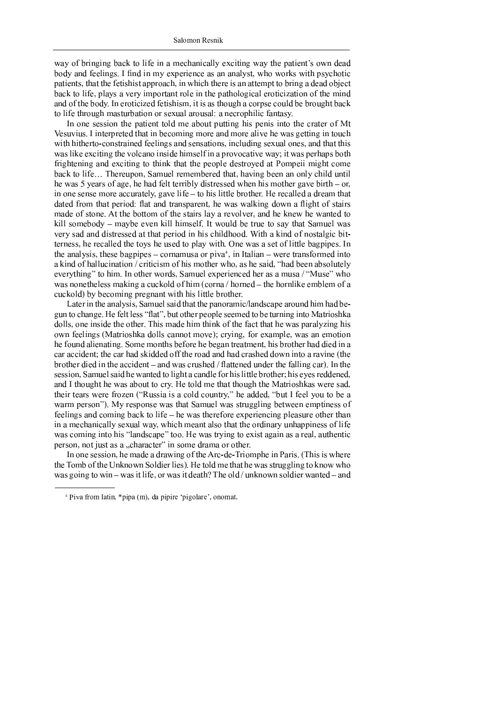way of bringing back to life in a mechanically exciting way the patient's own dead body and feelings. I find in my experience as an analyst, who works with psychotic patients, that the fetishist approach, in which there is an attempt to bring a dead object back to life, plays a very important role in the pathological eroticization of the mind and of the body. In eroticized fetishism, it is as though a corpse could be brought back to life through masturbation or sexual arousal: a necrophilic fantasy.

In one session the patient told me about putting his penis into the crater of Mt Vesuvius. I interpreted that in becoming more and more alive he was getting in touch with hitherto-constrained feelings and sensations, including sexual ones, and that this was like exciting the volcano inside himself in a provocative way; it was perhaps both frightening and exciting to think that the people destroyed at Pompeii might come back to life... Thereupon, Samuel remembered that, having been an only child until he was 5 years of age, he had felt terribly distressed when his mother gave birth – or, in one sense more accurately, gave life  $-$  to his little brother. He recalled a dream that dated from that period: flat and transparent, he was walking down a flight of stairs made of stone. At the bottom of the stairs lay a revolver, and he knew he wanted to kill somebody – maybe even kill himself. It would be true to say that Samuel was very sad and distressed at that period in his childhood. With a kind of nostalgic bitterness, he recalled the toys he used to play with. One was a set of little bagpipes. In the analysis, these bagpipes – cornamusa or  $piva^4$ , in Italian – were transformed into a kind of hallucination / criticism of his mother who, as he said, "had been absolutely everything" to him. In other words, Samuel experienced her as a musa / "Muse" who was nonetheless making a cuckold of him (corna / horned – the hornlike emblem of a cuckold) by becoming pregnant with his little brother.

Later in the analysis, Samuel said that the panoramic/landscape around him had begun to change. He felt less "flat", but other people seemed to be turning into Matrioshka dolls, one inside the other. This made him think of the fact that he was paralyzing his own feelings (Matrioshka dolls cannot move); crying, for example, was an emotion he found alienating. Some months before he began treatment, his brother had died in a car accident; the car had skidded off the road and had crashed down into a rayine (the brother died in the accident – and was crushed / flattened under the falling car). In the session, Samuel said he wanted to light a candle for his little brother; his eyes reddened, and I thought he was about to cry. He told me that though the Matrioshkas were sad, their tears were frozen ("Russia is a cold country," he added, "but I feel you to be a warm person"). My response was that Samuel was struggling between emptiness of feelings and coming back to life – he was therefore experiencing pleasure other than in a mechanically sexual way, which meant also that the ordinary unhappiness of life was coming into his "landscape" too. He was trying to exist again as a real, authentic person, not just as a "character" in some drama or other.

In one session, he made a drawing of the Arc-de-Triomphe in Paris. (This is where the Tomb of the Unknown Soldier lies). He told me that he was struggling to know who was going to win – was it life, or was it death? The old / unknown soldier wanted – and

<sup>&</sup>lt;sup>4</sup> Piva from latin. \*pipa (m), da pipire 'pigolare', onomat.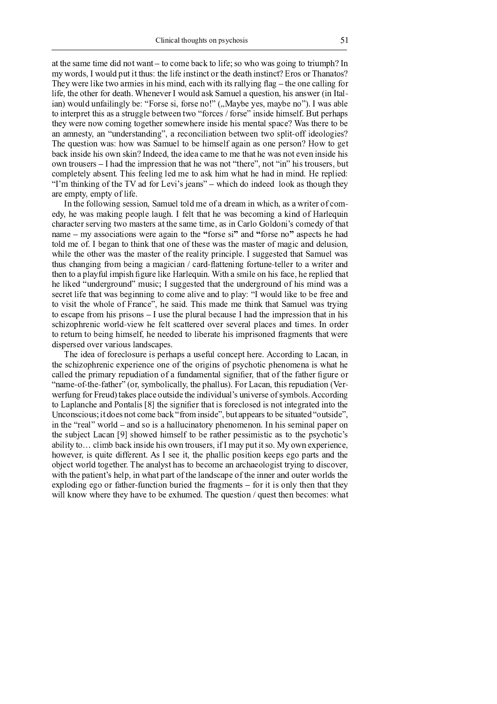at the same time did not want – to come back to life; so who was going to triumph? In my words, I would put it thus: the life instinct or the death instinct? Eros or Thanatos? They were like two armies in his mind, each with its rallying flag – the one calling for life, the other for death. Whenever I would ask Samuel a question, his answer (in Italian) would unfailingly be: "Forse si, forse no!" ("Maybe yes, maybe no"). I was able to interpret this as a struggle between two "forces / forse" inside himself. But perhaps they were now coming together somewhere inside his mental space? Was there to be an amnesty, an "understanding", a reconciliation between two split-off ideologies? The question was: how was Samuel to be himself again as one person? How to get back inside his own skin? Indeed, the idea came to me that he was not even inside his own trousers – I had the impression that he was not "there", not "in" his trousers, but completely absent. This feeling led me to ask him what he had in mind. He replied: "I'm thinking of the TV ad for Levi's jeans" – which do indeed look as though they are empty, empty of life.

In the following session, Samuel told me of a dream in which, as a writer of comedy, he was making people laugh. I felt that he was becoming a kind of Harlequin character serving two masters at the same time, as in Carlo Goldoni's comedy of that name – my associations were again to the "forse si" and "forse no" aspects he had told me of. I began to think that one of these was the master of magic and delusion. while the other was the master of the reality principle. I suggested that Samuel was thus changing from being a magician / card-flattening fortune-teller to a writer and then to a playful impish figure like Harlequin. With a smile on his face, he replied that he liked "underground" music; I suggested that the underground of his mind was a secret life that was beginning to come alive and to play: "I would like to be free and to visit the whole of France", he said. This made me think that Samuel was trying to escape from his prisons  $-1$  use the plural because I had the impression that in his schizophrenic world-view he felt scattered over several places and times. In order to return to being himself, he needed to liberate his imprisoned fragments that were dispersed over various landscapes.

The idea of foreclosure is perhaps a useful concept here. According to Lacan, in the schizophrenic experience one of the origins of psychotic phenomena is what he called the primary repudiation of a fundamental signifier, that of the father figure or "name-of-the-father" (or, symbolically, the phallus). For Lacan, this repudiation (Verwerfung for Freud) takes place outside the individual's universe of symbols. According to Laplanche and Pontalis  $[8]$  the signifier that is foreclosed is not integrated into the  $H_{nonnoncon}$  it deep not cause heals "from inside", but on paramete he eitheted "cutoide" in the "real" world – and so is a hallucinatory phenomenon. In his seminal paper on the subject Lacan [9] showed himself to be rather pessimistic as to the psychotic's ability to... climb back inside his own trousers, if I may put it so. My own experience, however, is quite different. As I see it, the phallic position keeps ego parts and the object world together. The analyst has to become an archaeologist trying to discover, with the patient's help, in what part of the landscape of the inner and outer worlds the exploding ego or father-function buried the fragments – for it is only then that they will know where they have to be exhumed. The question  $\ell$  quest then becomes: what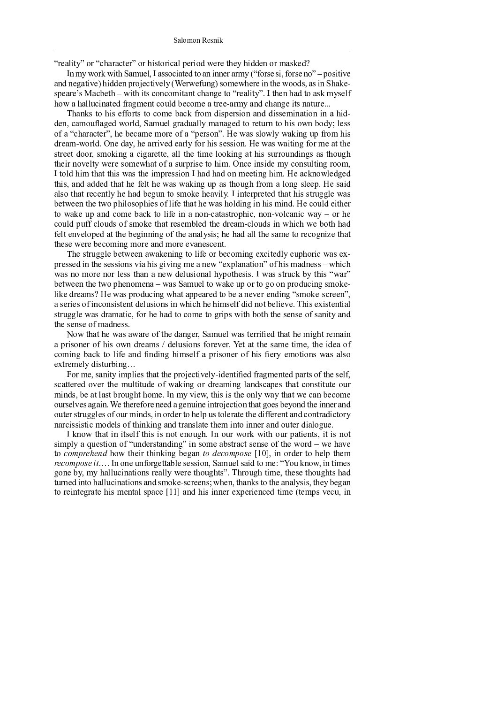"reality" or "character" or historical period were they hidden or masked?

In my work with Samuel, I associated to an inner army ("forse si, forse no" – positive and negative) hidden projectively (Werwefung) somewhere in the woods, as in Shakespeare's Macbeth – with its concomitant change to "reality". I then had to ask myself how a hallucinated fragment could become a tree-army and change its nature...

Thanks to his efforts to come back from dispersion and dissemination in a hidden, camouflaged world, Samuel gradually managed to return to his own body; less of a "character", he became more of a "person". He was slowly waking up from his dream-world. One day, he arrived early for his session. He was waiting for me at the street door, smoking a cigarette, all the time looking at his surroundings as though their novelty were somewhat of a surprise to him. Once inside my consulting room, I told him that this was the impression I had had on meeting him. He acknowledged this, and added that he felt he was waking up as though from a long sleep. He said also that recently he had begun to smoke heavily. I interpreted that his struggle was between the two philosophies of life that he was holding in his mind. He could either to wake up and come back to life in a non-catastrophic, non-volcanic way  $-$  or he could puff clouds of smoke that resembled the dream-clouds in which we both had felt enveloped at the beginning of the analysis; he had all the same to recognize that these were becoming more and more evanescent.

The struggle between awakening to life or becoming excitedly euphoric was expressed in the sessions via his giving me a new "explanation" of his madness – which was no more nor less than a new delusional hypothesis. I was struck by this "war" between the two phenomena – was Samuel to wake up or to go on producing smokelike dreams? He was producing what appeared to be a never-ending "smoke-screen". a series of inconsistent delusions in which he himself did not believe. This existential struggle was dramatic, for he had to come to grips with both the sense of sanity and the sense of madness.

Now that he was aware of the danger, Samuel was terrified that he might remain a prisoner of his own dreams / delusions forever. Yet at the same time, the idea of coming back to life and finding himself a prisoner of his fiery emotions was also extremely disturbing...

For me, sanity implies that the projectively-identified fragmented parts of the self, scattered over the multitude of waking or dreaming landscapes that constitute our minds, be at last brought home. In my view, this is the only way that we can become ourselves again. We therefore need a genuine introjection that goes beyond the inner and outer struggles of our minds, in order to help us tolerate the different and contradictory narcissistic models of thinking and translate them into inner and outer dialogue.

I know that in itself this is not enough. In our work with our patients, it is not simply a question of "understanding" in some abstract sense of the word – we have to *comprehend* how their thinking began to *decompose* [10], in order to help them *recompose it....* In one unforgettable session, Samuel said to me: "You know, in times gone by, my hallucinations really were thoughts". Through time, these thoughts had turned into hallucinations and smoke-screens; when, thanks to the analysis, they began to reintegrate his mental space  $[11]$  and his inner experienced time (temps vecu, in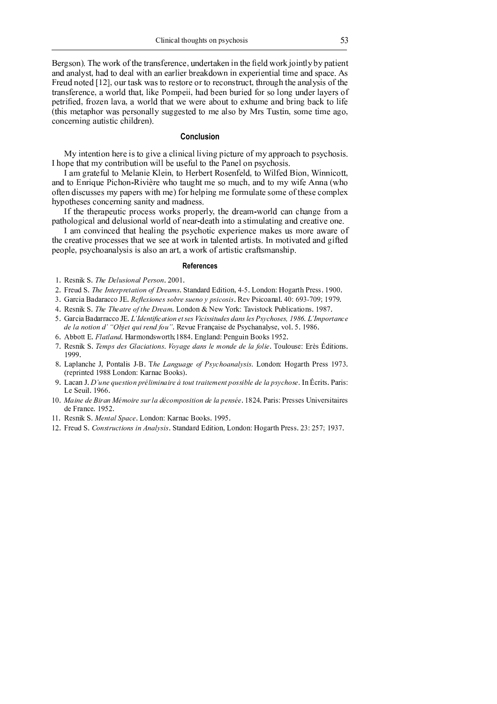Bergson). The work of the transference, undertaken in the field work jointly by patient and analyst, had to deal with an earlier breakdown in experiential time and space. As Freud noted [12], our task was to restore or to reconstruct, through the analysis of the transference, a world that, like Pompeii, had been buried for so long under layers of petrified, frozen lava, a world that we were about to exhume and bring back to life (this metaphor was personally suggested to me also by Mrs Tustin, some time ago, concerning autistic children).

## Conclusion

My intention here is to give a clinical living picture of my approach to psychosis. I hope that my contribution will be useful to the Panel on psychosis.

I am grateful to Melanie Klein, to Herbert Rosenfeld, to Wilfed Bion, Winnicott, and to Enrique Pichon-Rivière who taught me so much, and to my wife Anna (who often discusses my papers with me) for helping me formulate some of these complex hypotheses concerning sanity and madness.

If the therapeutic process works properly, the dream-world can change from a pathological and delusional world of near-death into a stimulating and creative one.

I am convinced that healing the psychotic experience makes us more aware of the creative processes that we see at work in talented artists. In motivated and gifted people, psychoanalysis is also an art, a work of artistic craftsmanship.

### References

- 1. Resnik S. The Delusional Person. 2001.
- 2. Freud S. The Interpretation of Dreams. Standard Edition, 4-5. London: Hogarth Press, 1900.
- 3. Garcia Badaracco JE. Reflexiones sobre sueno y psicosis. Rev Psicoanal. 40: 693-709; 1979.
- 4. Resnik S. The Theatre of the Dream. London & New York: Tavistock Publications. 1987.
- 5. Garcia Badarracco JE. L'Identification et ses Vicissitudes dans les Psychoses, 1986. L'Importance de la notion d' "Objet qui rend fou". Revue Française de Psychanalyse, vol. 5. 1986.
- 6. Abbott E. Flatland. Harmondsworth; 1884. England: Penguin Books 1952.
- 7. Resnik S. Temps des Glaciations. Voyage dans le monde de la folie. Toulouse: Erès Éditions. 1999.
- 8. Laplanche J, Pontalis J-B. The Language of Psychoanalysis. London: Hogarth Press 1973. (reprinted 1988 London: Karnac Books).
- 9. Lacan J. D'une question préliminaire à tout traitement possible de la psychose. In Écrits, Paris: Le Seuil. 1966.
- 10. Maine de Biran Mémoire sur la décomposition de la pensée. 1824. Paris: Presses Universitaires de France. 1952.
- 11. Resnik S. Mental Space. London: Karnac Books. 1995.
- 12. Freud S. Constructions in Analysis. Standard Edition, London: Hogarth Press. 23: 257; 1937.